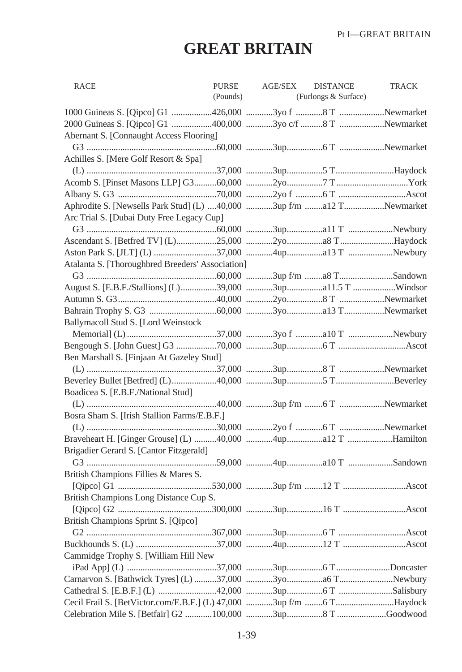## **GREAT BRITAIN**

| <b>RACE</b>                                                         | <b>PURSE</b><br>(Pounds) | <b>AGE/SEX</b> | <b>DISTANCE</b><br>(Furlongs & Surface) | <b>TRACK</b> |
|---------------------------------------------------------------------|--------------------------|----------------|-----------------------------------------|--------------|
|                                                                     |                          |                |                                         |              |
| 2000 Guineas S. [Qipco] G1 400,000 3yo c/f 8 T Newmarket            |                          |                |                                         |              |
| Abernant S. [Connaught Access Flooring]                             |                          |                |                                         |              |
|                                                                     |                          |                |                                         |              |
| Achilles S. [Mere Golf Resort & Spa]                                |                          |                |                                         |              |
|                                                                     |                          |                |                                         |              |
|                                                                     |                          |                |                                         |              |
|                                                                     |                          |                |                                         |              |
| Aphrodite S. [Newsells Park Stud] (L) 40,000 3up f/m a12 TNewmarket |                          |                |                                         |              |
| Arc Trial S. [Dubai Duty Free Legacy Cup]                           |                          |                |                                         |              |
|                                                                     |                          |                |                                         |              |
|                                                                     |                          |                |                                         |              |
|                                                                     |                          |                |                                         |              |
| Atalanta S. [Thoroughbred Breeders' Association]                    |                          |                |                                         |              |
|                                                                     |                          |                |                                         |              |
|                                                                     |                          |                |                                         |              |
|                                                                     |                          |                |                                         |              |
|                                                                     |                          |                |                                         |              |
| Ballymacoll Stud S. [Lord Weinstock                                 |                          |                |                                         |              |
|                                                                     |                          |                |                                         |              |
|                                                                     |                          |                |                                         |              |
| Ben Marshall S. [Finjaan At Gazeley Stud]                           |                          |                |                                         |              |
|                                                                     |                          |                |                                         |              |
|                                                                     |                          |                |                                         |              |
| Boadicea S. [E.B.F./National Stud]                                  |                          |                |                                         |              |
|                                                                     |                          |                |                                         |              |
| Bosra Sham S. [Irish Stallion Farms/E.B.F.]                         |                          |                |                                         |              |
|                                                                     |                          |                |                                         |              |
|                                                                     |                          |                |                                         |              |
| Brigadier Gerard S. [Cantor Fitzgerald]                             |                          |                |                                         |              |
|                                                                     |                          |                |                                         |              |
| British Champions Fillies & Mares S.                                |                          |                |                                         |              |
|                                                                     |                          |                |                                         |              |
| British Champions Long Distance Cup S.                              |                          |                |                                         |              |
|                                                                     |                          |                |                                         |              |
| British Champions Sprint S. [Qipco]                                 |                          |                |                                         |              |
|                                                                     |                          |                |                                         |              |
|                                                                     |                          |                |                                         |              |
| Cammidge Trophy S. [William Hill New                                |                          |                |                                         |              |
|                                                                     |                          |                |                                         |              |
|                                                                     |                          |                |                                         |              |
|                                                                     |                          |                |                                         |              |
| Cecil Frail S. [BetVictor.com/E.B.F.] (L) 47,000 3up f/m 6 THaydock |                          |                |                                         |              |
|                                                                     |                          |                |                                         |              |
|                                                                     |                          |                |                                         |              |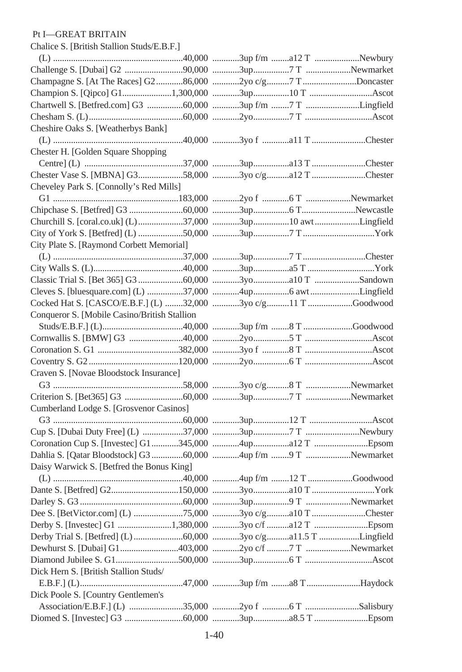## Chalice S. [British Stallion Studs/E.B.F.] Pt I—GREAT BRITAIN

| Champagne S. [At The Races] G286,000 2yo c/g7 TDoncaster     |  |  |
|--------------------------------------------------------------|--|--|
|                                                              |  |  |
| Chartwell S. [Betfred.com] G3 60,000 3up f/m 7 T Lingfield   |  |  |
|                                                              |  |  |
| Cheshire Oaks S. [Weatherbys Bank]                           |  |  |
|                                                              |  |  |
| Chester H. [Golden Square Shopping]                          |  |  |
|                                                              |  |  |
| Chester Vase S. [MBNA] G358,000 3yo c/ga12 T Chester         |  |  |
| Cheveley Park S. [Connolly's Red Mills]                      |  |  |
|                                                              |  |  |
|                                                              |  |  |
| Churchill S. [coral.co.uk] (L)37,000 3up10 awtLingfield      |  |  |
|                                                              |  |  |
| City Plate S. [Raymond Corbett Memorial]                     |  |  |
|                                                              |  |  |
|                                                              |  |  |
|                                                              |  |  |
| Cleves S. [bluesquare.com] (L) 37,000 4up6 awtLingfield      |  |  |
| Cocked Hat S. [CASCO/E.B.F.] (L) 32,000 3yo c/g11 T Goodwood |  |  |
| Conqueror S. [Mobile Casino/British Stallion                 |  |  |
|                                                              |  |  |
|                                                              |  |  |
|                                                              |  |  |
|                                                              |  |  |
| Craven S. [Novae Bloodstock Insurance]                       |  |  |
|                                                              |  |  |
|                                                              |  |  |
| Cumberland Lodge S. [Grosvenor Casinos]                      |  |  |
|                                                              |  |  |
|                                                              |  |  |
|                                                              |  |  |
| Dahlia S. [Qatar Bloodstock] G3 60,000 4up f/m 9 T Newmarket |  |  |
| Daisy Warwick S. [Betfred the Bonus King]                    |  |  |
|                                                              |  |  |
|                                                              |  |  |
|                                                              |  |  |
|                                                              |  |  |
|                                                              |  |  |
|                                                              |  |  |
|                                                              |  |  |
|                                                              |  |  |
| Dick Hern S. [British Stallion Studs/                        |  |  |
|                                                              |  |  |
| Dick Poole S. [Country Gentlemen's                           |  |  |
|                                                              |  |  |
|                                                              |  |  |
|                                                              |  |  |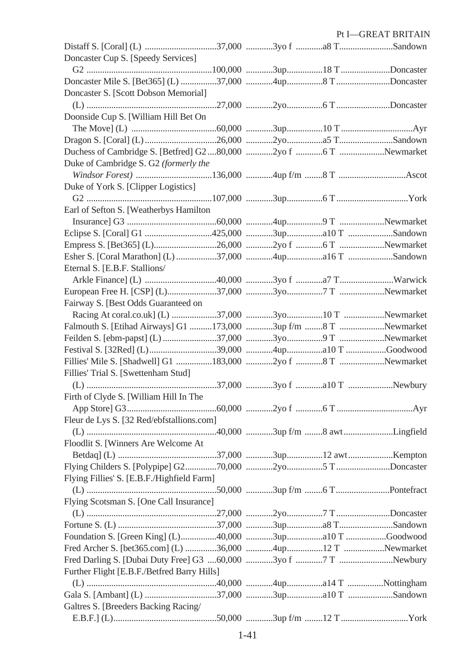|                                                              |  | Pt I-GREAT BRITAIN |
|--------------------------------------------------------------|--|--------------------|
|                                                              |  |                    |
| Doncaster Cup S. [Speedy Services]                           |  |                    |
|                                                              |  |                    |
|                                                              |  |                    |
| Doncaster S. [Scott Dobson Memorial]                         |  |                    |
|                                                              |  |                    |
| Doonside Cup S. [William Hill Bet On                         |  |                    |
|                                                              |  |                    |
|                                                              |  |                    |
|                                                              |  |                    |
| Duke of Cambridge S. G2 (formerly the                        |  |                    |
|                                                              |  |                    |
| Duke of York S. [Clipper Logistics]                          |  |                    |
|                                                              |  |                    |
| Earl of Sefton S. [Weatherbys Hamilton                       |  |                    |
|                                                              |  |                    |
|                                                              |  |                    |
|                                                              |  |                    |
|                                                              |  |                    |
|                                                              |  |                    |
| Eternal S. [E.B.F. Stallions/                                |  |                    |
|                                                              |  |                    |
|                                                              |  |                    |
| Fairway S. [Best Odds Guaranteed on                          |  |                    |
|                                                              |  |                    |
| Falmouth S. [Etihad Airways] G1 173,000 3up f/m  T Newmarket |  |                    |
|                                                              |  |                    |
|                                                              |  |                    |
|                                                              |  |                    |
| Fillies' Trial S. [Swettenham Stud]                          |  |                    |
|                                                              |  |                    |
| Firth of Clyde S. [William Hill In The                       |  |                    |
|                                                              |  |                    |
| Fleur de Lys S. [32 Red/ebfstallions.com]                    |  |                    |
|                                                              |  |                    |
| Floodlit S. [Winners Are Welcome At                          |  |                    |
|                                                              |  |                    |
|                                                              |  |                    |
| Flying Fillies' S. [E.B.F./Highfield Farm]                   |  |                    |
|                                                              |  |                    |
| Flying Scotsman S. [One Call Insurance]                      |  |                    |
|                                                              |  |                    |
|                                                              |  |                    |
| Foundation S. [Green King] (L)40,000 3upa10 T Goodwood       |  |                    |
| Fred Archer S. [bet365.com] (L) 36,000 4up12 T Newmarket     |  |                    |
|                                                              |  |                    |
| Further Flight [E.B.F./Betfred Barry Hills]                  |  |                    |
|                                                              |  |                    |
|                                                              |  |                    |
| Galtres S. [Breeders Backing Racing/                         |  |                    |
|                                                              |  |                    |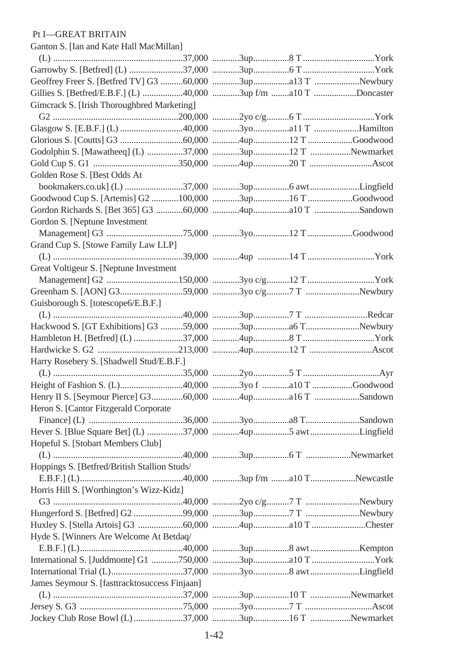## Pt I—GREAT BRITAIN

Ganton S. [Ian and Kate Hall MacMillan]

| Gimcrack S. [Irish Thoroughbred Marketing]              |  |  |
|---------------------------------------------------------|--|--|
|                                                         |  |  |
|                                                         |  |  |
|                                                         |  |  |
| Godolphin S. [Mawatheeq] (L) 37,000 3up12 T Newmarket   |  |  |
|                                                         |  |  |
| Golden Rose S. [Best Odds At                            |  |  |
|                                                         |  |  |
|                                                         |  |  |
|                                                         |  |  |
| Gordon S. [Neptune Investment                           |  |  |
|                                                         |  |  |
| Grand Cup S. [Stowe Family Law LLP]                     |  |  |
|                                                         |  |  |
| Great Voltigeur S. [Neptune Investment                  |  |  |
|                                                         |  |  |
|                                                         |  |  |
| Guisborough S. [totescope6/E.B.F.]                      |  |  |
|                                                         |  |  |
|                                                         |  |  |
|                                                         |  |  |
|                                                         |  |  |
| Harry Rosebery S. [Shadwell Stud/E.B.F.]                |  |  |
|                                                         |  |  |
|                                                         |  |  |
|                                                         |  |  |
| Heron S. [Cantor Fitzgerald Corporate                   |  |  |
|                                                         |  |  |
| Hever S. [Blue Square Bet] (L) 37,000 4up5 awtLingfield |  |  |
| Hopeful S. [Stobart Members Club]                       |  |  |
|                                                         |  |  |
| Hoppings S. [Betfred/British Stallion Studs/            |  |  |
|                                                         |  |  |
| Horris Hill S. [Worthington's Wizz-Kidz]                |  |  |
|                                                         |  |  |
|                                                         |  |  |
|                                                         |  |  |
| Hyde S. [Winners Are Welcome At Betdaq/                 |  |  |
|                                                         |  |  |
| International S. [Juddmonte] G1 750,000 3upa10 T York   |  |  |
|                                                         |  |  |
| James Seymour S. [fasttracktosuccess Finjaan]           |  |  |
|                                                         |  |  |
|                                                         |  |  |
|                                                         |  |  |
|                                                         |  |  |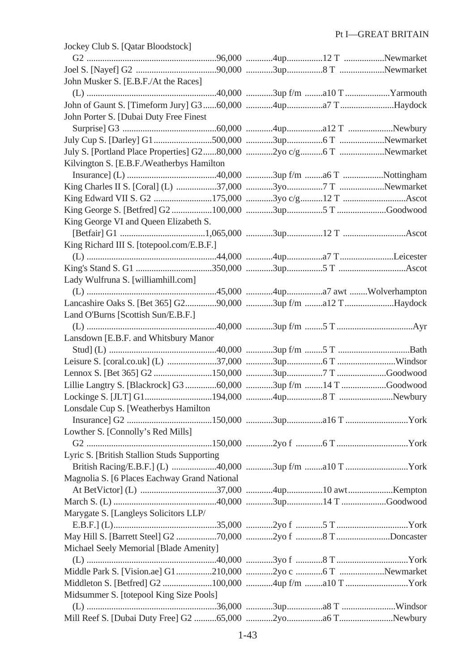| Jockey Club S. [Qatar Bloodstock]                                 |  |  |
|-------------------------------------------------------------------|--|--|
|                                                                   |  |  |
|                                                                   |  |  |
| John Musker S. [E.B.F./At the Races]                              |  |  |
|                                                                   |  |  |
|                                                                   |  |  |
| John Porter S. [Dubai Duty Free Finest                            |  |  |
|                                                                   |  |  |
|                                                                   |  |  |
| July S. [Portland Place Properties] G280,000 2yo c/g6 T Newmarket |  |  |
| Kilvington S. [E.B.F./Weatherbys Hamilton                         |  |  |
|                                                                   |  |  |
|                                                                   |  |  |
|                                                                   |  |  |
|                                                                   |  |  |
| King George VI and Queen Elizabeth S.                             |  |  |
|                                                                   |  |  |
| King Richard III S. [totepool.com/E.B.F.]                         |  |  |
|                                                                   |  |  |
|                                                                   |  |  |
| Lady Wulfruna S. [williamhill.com]                                |  |  |
|                                                                   |  |  |
|                                                                   |  |  |
| Land O'Burns [Scottish Sun/E.B.F.]                                |  |  |
|                                                                   |  |  |
| Lansdown [E.B.F. and Whitsbury Manor                              |  |  |
|                                                                   |  |  |
|                                                                   |  |  |
|                                                                   |  |  |
| Lillie Langtry S. [Blackrock] G3 60,000 3up f/m 14 T Goodwood     |  |  |
|                                                                   |  |  |
| Lonsdale Cup S. [Weatherbys Hamilton]                             |  |  |
|                                                                   |  |  |
| Lowther S. [Connolly's Red Mills]                                 |  |  |
|                                                                   |  |  |
| Lyric S. [British Stallion Studs Supporting]                      |  |  |
| British Racing/E.B.F.] (L) 40,000 3up f/m a10 T York              |  |  |
| Magnolia S. [6 Places Eachway Grand National                      |  |  |
|                                                                   |  |  |
|                                                                   |  |  |
| Marygate S. [Langleys Solicitors LLP/                             |  |  |
|                                                                   |  |  |
|                                                                   |  |  |
| Michael Seely Memorial [Blade Amenity]                            |  |  |
|                                                                   |  |  |
|                                                                   |  |  |
|                                                                   |  |  |
| Midsummer S. [totepool King Size Pools]                           |  |  |
|                                                                   |  |  |
|                                                                   |  |  |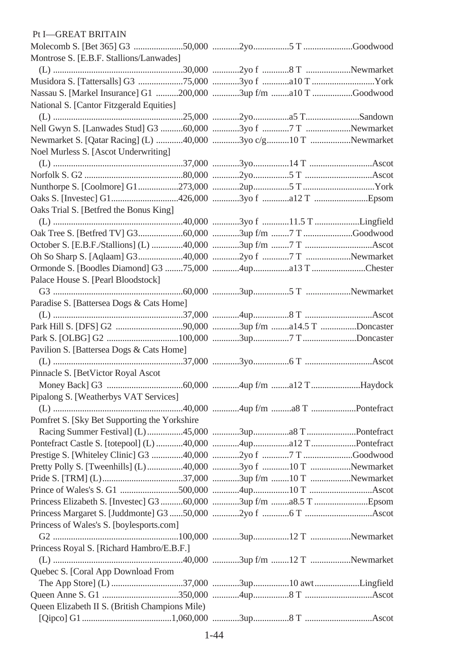| Pt I-GREAT BRITAIN                                             |  |  |
|----------------------------------------------------------------|--|--|
|                                                                |  |  |
| Montrose S. [E.B.F. Stallions/Lanwades]                        |  |  |
|                                                                |  |  |
| Musidora S. [Tattersalls] G3 75,000 3yo f  201k                |  |  |
| Nassau S. [Markel Insurance] G1 200,000 3up f/m a10 T Goodwood |  |  |
| National S. [Cantor Fitzgerald Equities]                       |  |  |
|                                                                |  |  |
| Nell Gwyn S. [Lanwades Stud] G3 60,000 3yo f 7 T Newmarket     |  |  |
| Newmarket S. [Qatar Racing] (L) 40,000 3yo c/g10 T Newmarket   |  |  |
| Noel Murless S. [Ascot Underwriting]                           |  |  |
|                                                                |  |  |
|                                                                |  |  |
|                                                                |  |  |
|                                                                |  |  |
| Oaks Trial S. [Betfred the Bonus King]                         |  |  |
|                                                                |  |  |
|                                                                |  |  |
|                                                                |  |  |
|                                                                |  |  |
|                                                                |  |  |
| Palace House S. [Pearl Bloodstock]                             |  |  |
|                                                                |  |  |
| Paradise S. [Battersea Dogs & Cats Home]                       |  |  |
|                                                                |  |  |
|                                                                |  |  |
|                                                                |  |  |
| Pavilion S. [Battersea Dogs & Cats Home]                       |  |  |
|                                                                |  |  |
| Pinnacle S. [BetVictor Royal Ascot                             |  |  |
|                                                                |  |  |
| Pipalong S. [Weatherbys VAT Services]                          |  |  |
|                                                                |  |  |
| Pomfret S. [Sky Bet Supporting the Yorkshire                   |  |  |
|                                                                |  |  |
|                                                                |  |  |
| Prestige S. [Whiteley Clinic] G3 40,000 2yo f 7 T Goodwood     |  |  |
| Pretty Polly S. [Tweenhills] (L) 40,000 3yo f 10 T Newmarket   |  |  |
|                                                                |  |  |
|                                                                |  |  |
|                                                                |  |  |
|                                                                |  |  |
| Princess of Wales's S. [boylesports.com]                       |  |  |
|                                                                |  |  |
| Princess Royal S. [Richard Hambro/E.B.F.]                      |  |  |
|                                                                |  |  |
| Quebec S. [Coral App Download From                             |  |  |
| The App Store] (L) 37,000 3up10 awtLingfield                   |  |  |
|                                                                |  |  |
| Queen Elizabeth II S. (British Champions Mile)                 |  |  |
|                                                                |  |  |
|                                                                |  |  |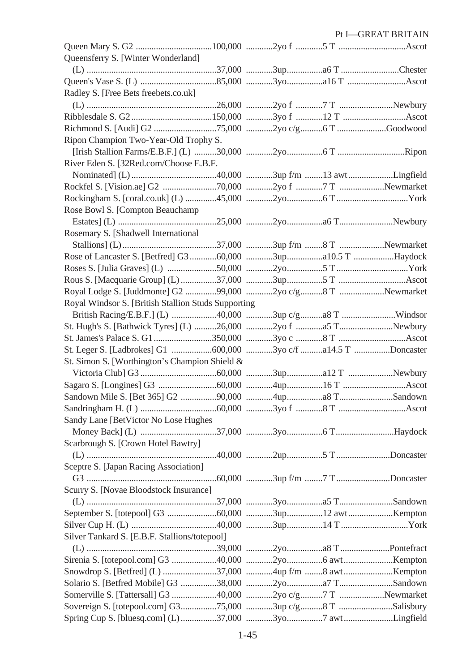|                                                           |  | Pt I-GREAT BRITAIN |
|-----------------------------------------------------------|--|--------------------|
|                                                           |  |                    |
| Queensferry S. [Winter Wonderland]                        |  |                    |
|                                                           |  |                    |
|                                                           |  |                    |
| Radley S. [Free Bets freebets.co.uk]                      |  |                    |
|                                                           |  |                    |
|                                                           |  |                    |
|                                                           |  |                    |
| Ripon Champion Two-Year-Old Trophy S.                     |  |                    |
|                                                           |  |                    |
| River Eden S. [32Red.com/Choose E.B.F.                    |  |                    |
|                                                           |  |                    |
|                                                           |  |                    |
|                                                           |  |                    |
| Rose Bowl S. [Compton Beauchamp                           |  |                    |
|                                                           |  |                    |
| Rosemary S. [Shadwell International                       |  |                    |
|                                                           |  |                    |
|                                                           |  |                    |
|                                                           |  |                    |
|                                                           |  |                    |
| Royal Lodge S. [Juddmonte] G2 99,000 2yo c/g8 T Newmarket |  |                    |
| Royal Windsor S. [British Stallion Studs Supporting       |  |                    |
|                                                           |  |                    |
|                                                           |  |                    |
|                                                           |  |                    |
|                                                           |  |                    |
| St. Simon S. [Worthington's Champion Shield &             |  |                    |
|                                                           |  |                    |
|                                                           |  |                    |
|                                                           |  |                    |
|                                                           |  |                    |
| Sandy Lane [BetVictor No Lose Hughes                      |  |                    |
|                                                           |  |                    |
| Scarbrough S. [Crown Hotel Bawtry]                        |  |                    |
|                                                           |  |                    |
| Sceptre S. [Japan Racing Association]                     |  |                    |
|                                                           |  |                    |
| Scurry S. [Novae Bloodstock Insurance]                    |  |                    |
|                                                           |  |                    |
|                                                           |  |                    |
|                                                           |  |                    |
| Silver Tankard S. [E.B.F. Stallions/totepool]             |  |                    |
|                                                           |  |                    |
|                                                           |  |                    |
| Snowdrop S. [Betfred] (L) 37,000 4up f/m 8 awtKempton     |  |                    |
|                                                           |  |                    |
|                                                           |  |                    |
|                                                           |  |                    |
| Spring Cup S. [bluesq.com] (L) 37,000 3yo7 awtLingfield   |  |                    |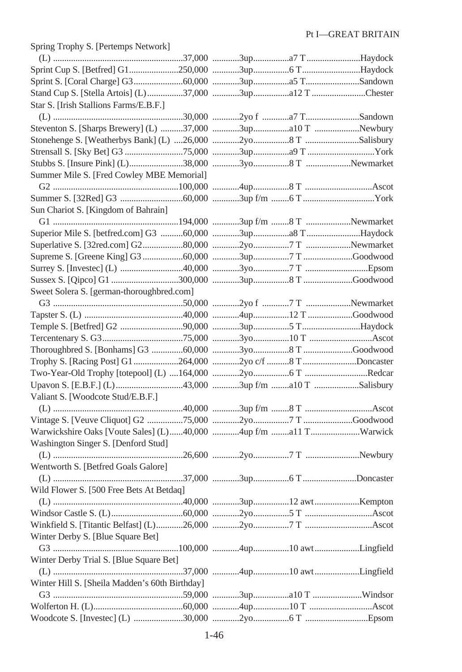| Spring Trophy S. [Pertemps Network]                            |  |  |
|----------------------------------------------------------------|--|--|
|                                                                |  |  |
|                                                                |  |  |
|                                                                |  |  |
| Stand Cup S. [Stella Artois] (L) 37,000 3up a12 T Chester      |  |  |
| Star S. [Irish Stallions Farms/E.B.F.]                         |  |  |
|                                                                |  |  |
| Steventon S. [Sharps Brewery] (L) 37,000 3upa10 T Newbury      |  |  |
|                                                                |  |  |
|                                                                |  |  |
|                                                                |  |  |
| Summer Mile S. [Fred Cowley MBE Memorial]                      |  |  |
|                                                                |  |  |
|                                                                |  |  |
| Sun Chariot S. [Kingdom of Bahrain]                            |  |  |
|                                                                |  |  |
|                                                                |  |  |
|                                                                |  |  |
|                                                                |  |  |
|                                                                |  |  |
|                                                                |  |  |
| Sweet Solera S. [german-thoroughbred.com]                      |  |  |
|                                                                |  |  |
|                                                                |  |  |
|                                                                |  |  |
|                                                                |  |  |
|                                                                |  |  |
|                                                                |  |  |
| Trophy S. [Racing Post] G1 264,000 2yo c/f 8 T Doncaster       |  |  |
|                                                                |  |  |
| Upavon S. [E.B.F.] (L) 43,000 3up f/m a10 T Salisbury          |  |  |
| Valiant S. [Woodcote Stud/E.B.F.]                              |  |  |
|                                                                |  |  |
|                                                                |  |  |
| Warwickshire Oaks [Voute Sales] (L)40,000 4up f/m a11 TWarwick |  |  |
| Washington Singer S. [Denford Stud]                            |  |  |
|                                                                |  |  |
| Wentworth S. [Betfred Goals Galore]                            |  |  |
|                                                                |  |  |
| Wild Flower S. [500 Free Bets At Betdaq]                       |  |  |
|                                                                |  |  |
|                                                                |  |  |
|                                                                |  |  |
| Winter Derby S. [Blue Square Bet]                              |  |  |
|                                                                |  |  |
| Winter Derby Trial S. [Blue Square Bet]                        |  |  |
|                                                                |  |  |
| Winter Hill S. [Sheila Madden's 60th Birthday]                 |  |  |
|                                                                |  |  |
|                                                                |  |  |
|                                                                |  |  |